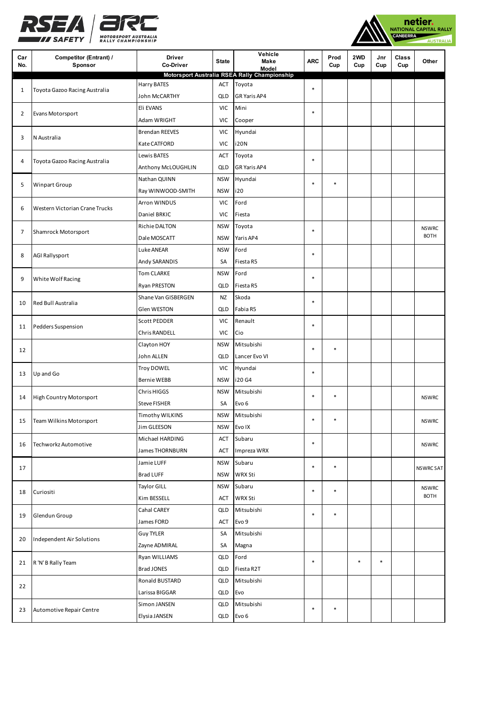



| Car<br>No.     | <b>Competitor (Entrant) /</b><br>Sponsor | <b>Driver</b><br>Co-Driver   | <b>State</b>      | Vehicle<br>Make<br>Model                     | <b>ARC</b> | Prod<br>Cup | 2WD<br>Cup | Jnr<br>Cup | Class<br>Cup | Other        |
|----------------|------------------------------------------|------------------------------|-------------------|----------------------------------------------|------------|-------------|------------|------------|--------------|--------------|
|                |                                          |                              |                   | Motorsport Australia RSEA Rally Championship |            |             |            |            |              |              |
| 1              | Toyota Gazoo Racing Australia            | Harry BATES<br>John McCARTHY | ACT<br><b>QLD</b> | Toyota<br>GR Yaris AP4                       | $\ast$     |             |            |            |              |              |
|                | Evans Motorsport                         | Eli EVANS                    | <b>VIC</b>        | Mini                                         |            |             |            |            |              |              |
| $\overline{2}$ |                                          | Adam WRIGHT                  | <b>VIC</b>        | Cooper                                       | $\ast$     |             |            |            |              |              |
|                | N Australia                              | <b>Brendan REEVES</b>        | <b>VIC</b>        | Hyundai                                      |            |             |            |            |              |              |
| 3              |                                          | Kate CATFORD                 | <b>VIC</b>        | i20N                                         |            |             |            |            |              |              |
|                |                                          | Lewis BATES                  | ACT               | Toyota                                       | $\ast$     |             |            |            |              |              |
| 4              | Toyota Gazoo Racing Australia            | Anthony McLOUGHLIN           | <b>QLD</b>        | <b>GR Yaris AP4</b>                          |            |             |            |            |              |              |
|                |                                          | Nathan QUINN                 | <b>NSW</b>        | Hyundai                                      | $\ast$     | $\ast$      |            |            |              |              |
| 5              | Winpart Group                            | Ray WINWOOD-SMITH            | <b>NSW</b>        | i20                                          |            |             |            |            |              |              |
|                |                                          | Arron WINDUS                 | <b>VIC</b>        | Ford                                         |            |             |            |            |              |              |
| 6              | Western Victorian Crane Trucks           | Daniel BRKIC                 | <b>VIC</b>        | Fiesta                                       |            |             |            |            |              |              |
|                |                                          | <b>Richie DALTON</b>         | <b>NSW</b>        | Toyota                                       | $\ast$     |             |            |            |              | <b>NSWRC</b> |
| 7              | Shamrock Motorsport                      | Dale MOSCATT                 | <b>NSW</b>        | Yaris AP4                                    |            |             |            |            |              | <b>BOTH</b>  |
|                |                                          | Luke ANEAR                   | <b>NSW</b>        | Ford                                         | $\ast$     |             |            |            |              |              |
| 8              | <b>AGI Rallysport</b>                    | Andy SARANDIS                | SA                | Fiesta R5                                    |            |             |            |            |              |              |
|                |                                          | <b>Tom CLARKE</b>            | <b>NSW</b>        | Ford                                         | $\ast$     |             |            |            |              |              |
| 9              | White Wolf Racing                        | Ryan PRESTON                 | <b>QLD</b>        | Fiesta R5                                    |            |             |            |            |              |              |
| 10             |                                          | Shane Van GISBERGEN          | NZ                | Skoda                                        | $\ast$     |             |            |            |              |              |
|                | Red Bull Australia                       | Glen WESTON                  | <b>QLD</b>        | Fabia R5                                     |            |             |            |            |              |              |
| 11             | Pedders Suspension                       | <b>Scott PEDDER</b>          | VIC               | Renault                                      | *          |             |            |            |              |              |
|                |                                          | Chris RANDELL                | <b>VIC</b>        | Cio                                          |            |             |            |            |              |              |
| 12             |                                          | Clayton HOY                  | <b>NSW</b>        | Mitsubishi                                   | $\ast$     | $\ast$      |            |            |              |              |
|                |                                          | John ALLEN                   | <b>QLD</b>        | Lancer Evo VI                                |            |             |            |            |              |              |
| 13             | Up and Go                                | <b>Troy DOWEL</b>            | <b>VIC</b>        | Hyundai                                      | $\ast$     |             |            |            |              |              |
|                |                                          | <b>Bernie WEBB</b>           | <b>NSW</b>        | i20 G4                                       |            |             |            |            |              |              |
| 14             | <b>High Country Motorsport</b>           | Chris HIGGS                  | <b>NSW</b>        | Mitsubishi                                   | *          | $\ast$      |            |            |              | <b>NSWRC</b> |
|                |                                          | <b>Steve FISHER</b>          | SA                | Evo <sub>6</sub>                             |            |             |            |            |              |              |
| 15             | <b>Team Wilkins Motorsport</b>           | Timothy WILKINS              | <b>NSW</b>        | Mitsubishi                                   | $\ast$     | $\ast$      |            |            |              | <b>NSWRC</b> |
|                |                                          | Jim GLEESON                  | <b>NSW</b>        | Evo IX                                       |            |             |            |            |              |              |
| 16             |                                          | Michael HARDING              | ACT               | Subaru                                       | $\ast$     |             |            |            |              | <b>NSWRC</b> |
|                | Techworkz Automotive                     | James THORNBURN              | ACT               | Impreza WRX                                  |            |             |            |            |              |              |
| 17             |                                          | Jamie LUFF                   | <b>NSW</b>        | Subaru                                       | *          | $\ast$      |            |            |              | NSWRC SAT    |
|                |                                          | <b>Brad LUFF</b>             | <b>NSW</b>        | WRX Sti                                      |            |             |            |            |              |              |
| 18             | Curiositi                                | <b>Taylor GILL</b>           | <b>NSW</b>        | Subaru                                       | $\ast$     | $\ast$      |            |            |              | <b>NSWRC</b> |
|                |                                          | Kim BESSELL                  | ACT               | WRX Sti                                      |            |             |            |            |              | <b>BOTH</b>  |
| 19             |                                          | Cahal CAREY                  | <b>QLD</b>        | Mitsubishi                                   | $\ast$     | $\ast$      |            |            |              |              |
|                | Glendun Group                            | James FORD                   | ACT               | Evo 9                                        |            |             |            |            |              |              |
| 20             | Independent Air Solutions                | <b>Guy TYLER</b>             | SA                | Mitsubishi                                   |            |             |            |            |              |              |
|                |                                          | Zayne ADMIRAL                | SA                | Magna                                        |            |             |            |            |              |              |
| 21             | R 'N' B Rally Team                       | Ryan WILLIAMS                | <b>QLD</b>        | Ford                                         | $\ast$     |             | $\ast$     | $\ast$     |              |              |
|                |                                          | Brad JONES                   | <b>QLD</b>        | Fiesta R2T                                   |            |             |            |            |              |              |
| 22             |                                          | Ronald BUSTARD               | <b>QLD</b>        | Mitsubishi                                   |            |             |            |            |              |              |
|                |                                          | Larissa BIGGAR               | <b>QLD</b>        | Evo                                          |            |             |            |            |              |              |
| 23             | Automotive Repair Centre                 | Simon JANSEN                 | <b>QLD</b>        | Mitsubishi                                   | $\ast$     | $\ast$      |            |            |              |              |
|                |                                          | Elysia JANSEN                | QLD               | Evo 6                                        |            |             |            |            |              |              |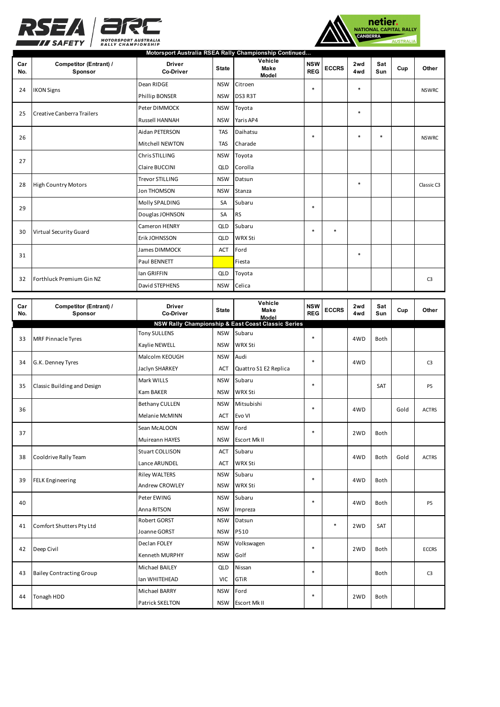



| Car | <b>Competitor (Entrant) /</b> | <b>Driver</b>          | <b>State</b> | Motorsport Australia RSEA Rally Championship Continued<br>Vehicle<br><b>Make</b> | <b>NSW</b> | <b>ECCRS</b> | 2wd    | Sat    | Cup | Other          |
|-----|-------------------------------|------------------------|--------------|----------------------------------------------------------------------------------|------------|--------------|--------|--------|-----|----------------|
| No. | Sponsor                       | <b>Co-Driver</b>       |              | Model                                                                            | <b>REG</b> |              | 4wd    | Sun    |     |                |
| 24  | <b>IKON Signs</b>             | Dean RIDGE             | <b>NSW</b>   | Citroen                                                                          | $\ast$     |              | $\ast$ |        |     | <b>NSWRC</b>   |
|     |                               | Phillip BONSER         | <b>NSW</b>   | DS3 R3T                                                                          |            |              |        |        |     |                |
| 25  | Creative Canberra Trailers    | Peter DIMMOCK          | <b>NSW</b>   | Toyota                                                                           |            |              | $\ast$ |        |     |                |
|     |                               | <b>Russell HANNAH</b>  | <b>NSW</b>   | Yaris AP4                                                                        |            |              |        |        |     |                |
| 26  |                               | Aidan PETERSON         | <b>TAS</b>   | Daihatsu                                                                         | $\ast$     |              | $\ast$ | $\ast$ |     | <b>NSWRC</b>   |
|     |                               | Mitchell NEWTON        | <b>TAS</b>   | Charade                                                                          |            |              |        |        |     |                |
| 27  |                               | Chris STILLING         | <b>NSW</b>   | Toyota                                                                           |            |              |        |        |     |                |
|     |                               | Claire BUCCINI         | <b>QLD</b>   | Corolla                                                                          |            |              |        |        |     |                |
| 28  | <b>High Country Motors</b>    | <b>Trevor STILLING</b> | <b>NSW</b>   | Datsun                                                                           |            |              | $\ast$ |        |     | Classic C3     |
|     |                               | <b>Jon THOMSON</b>     | <b>NSW</b>   | Stanza                                                                           |            |              |        |        |     |                |
| 29  |                               | Molly SPALDING         | SA           | Subaru                                                                           | $\ast$     |              |        |        |     |                |
|     |                               | Douglas JOHNSON        | SA           | <b>RS</b>                                                                        |            |              |        |        |     |                |
| 30  | <b>Virtual Security Guard</b> | Cameron HENRY          | <b>QLD</b>   | Subaru                                                                           | $\ast$     | $\ast$       |        |        |     |                |
|     |                               | Erik JOHNSSON          | <b>QLD</b>   | <b>WRX Sti</b>                                                                   |            |              |        |        |     |                |
| 31  |                               | James DIMMOCK          | <b>ACT</b>   | Ford                                                                             |            |              | $\ast$ |        |     |                |
|     |                               | Paul BENNETT           |              | Fiesta                                                                           |            |              |        |        |     |                |
|     |                               | lan GRIFFIN            | <b>QLD</b>   | Toyota                                                                           |            |              |        |        |     |                |
| 32  | Forthluck Premium Gin NZ      | David STEPHENS         | <b>NSW</b>   | Celica                                                                           |            |              |        |        |     | C <sub>3</sub> |

| Car<br>No. | <b>Competitor (Entrant) /</b><br>Sponsor | <b>Driver</b><br><b>Co-Driver</b>    | <b>State</b> | Vehicle<br>Make<br>Model                           | <b>NSW</b><br><b>REG</b> | <b>ECCRS</b> | 2wd<br>4wd | Sat<br>Sun  | Cup  | Other          |
|------------|------------------------------------------|--------------------------------------|--------------|----------------------------------------------------|--------------------------|--------------|------------|-------------|------|----------------|
|            |                                          |                                      |              | NSW Rally Championship & East Coast Classic Series |                          |              |            |             |      |                |
| 33         | <b>MRF Pinnacle Tyres</b>                | <b>Tony SULLENS</b>                  | <b>NSW</b>   | Subaru                                             | $\ast$                   |              | 4WD        | <b>Both</b> |      |                |
|            |                                          | Kaylie NEWELL                        | <b>NSW</b>   | <b>WRX Sti</b>                                     |                          |              |            |             |      |                |
|            | G.K. Denney Tyres                        | Malcolm KEOUGH                       | <b>NSW</b>   | Audi                                               | $\ast$                   |              | 4WD        |             |      | C <sub>3</sub> |
| 34         |                                          | Jaclyn SHARKEY                       | <b>ACT</b>   | Quattro S1 E2 Replica                              |                          |              |            |             |      |                |
| 35         |                                          | Mark WILLS                           | <b>NSW</b>   | Subaru                                             | $\ast$                   |              |            | <b>SAT</b>  |      |                |
|            | Classic Building and Design              | Kam BAKER                            | <b>NSW</b>   | <b>WRX Sti</b>                                     |                          |              |            |             |      | P5             |
| 36         |                                          | <b>Bethany CULLEN</b>                | <b>NSW</b>   | Mitsubishi                                         | $\ast$                   |              | 4WD        |             | Gold | <b>ACTRS</b>   |
|            |                                          | Melanie McMINN                       | <b>ACT</b>   | Evo VI                                             |                          |              |            |             |      |                |
| 37         |                                          | Sean McALOON                         | <b>NSW</b>   | Ford                                               | $\ast$                   |              | 2WD        | Both        |      |                |
|            |                                          | Muireann HAYES                       | <b>NSW</b>   | <b>Escort MkII</b>                                 |                          |              |            |             |      |                |
| 38         | Cooldrive Rally Team                     | <b>Stuart COLLISON</b>               | <b>ACT</b>   | Subaru                                             |                          |              | 4WD        | Both        | Gold | <b>ACTRS</b>   |
|            |                                          | Lance ARUNDEL                        | <b>ACT</b>   | <b>WRX Sti</b>                                     |                          |              |            |             |      |                |
| 39         | <b>FELK Engineering</b>                  | <b>Riley WALTERS</b>                 | <b>NSW</b>   | Subaru                                             | $\ast$                   |              | 4WD        | Both        |      |                |
|            |                                          | <b>Andrew CROWLEY</b>                | <b>NSW</b>   | <b>WRX Sti</b>                                     |                          |              |            |             |      |                |
| 40         |                                          | Peter EWING                          | <b>NSW</b>   | Subaru                                             | $\ast$                   |              | 4WD        | Both        |      | P5             |
|            |                                          | Anna RITSON                          | <b>NSW</b>   | Impreza                                            |                          |              |            |             |      |                |
| 41         | Comfort Shutters Pty Ltd                 | Robert GORST                         | <b>NSW</b>   | Datsun                                             |                          | $\ast$       | 2WD        | SAT         |      |                |
|            |                                          | Joanne GORST                         | <b>NSW</b>   | P510                                               |                          |              |            |             |      |                |
| 42         | Deep Civil                               | Declan FOLEY                         | <b>NSW</b>   | Volkswagen                                         | $\ast$                   |              | 2WD        | <b>Both</b> |      | <b>ECCRS</b>   |
|            |                                          | Golf<br>Kenneth MURPHY<br><b>NSW</b> |              |                                                    |                          |              |            |             |      |                |
| 43         | <b>Bailey Contracting Group</b>          | Michael BAILEY                       | QLD          | Nissan                                             | $\ast$                   |              |            | <b>Both</b> |      | C <sub>3</sub> |
|            |                                          | Ian WHITEHEAD                        | <b>VIC</b>   | GTiR                                               |                          |              |            |             |      |                |
|            | Tonagh HDD                               | <b>Michael BARRY</b>                 | <b>NSW</b>   | Ford                                               | $\ast$                   |              | 2WD        | Both        |      |                |
| 44         |                                          | Patrick SKELTON                      | <b>NSW</b>   | Escort Mk II                                       |                          |              |            |             |      |                |